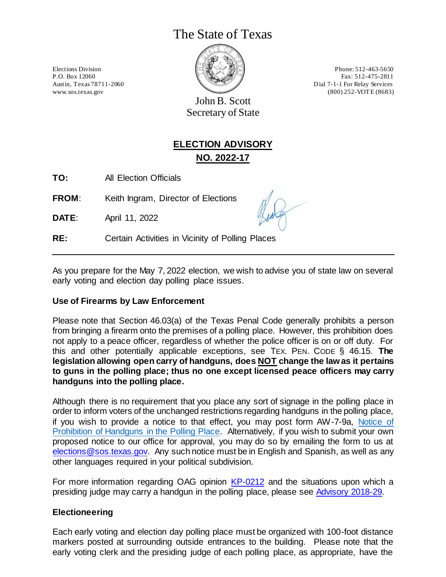# The State of Texas



Elections Division Phone: 512-463-5650 P.O. Box 12060 Fax: 512-475-2811 Austin, Texas 78711-2060 Dial 7-1-1 For Relay Services www.sos.texas.gov (800) 252-VOTE (8683)

John B. Scott Secretary of State

# **ELECTION ADVISORY NO. 2022-17**

**TO:** All Election Officials

**FROM:** Keith Ingram, Director of Elections

**DATE**: April 11, 2022

**RE:** Certain Activities in Vicinity of Polling Places

As you prepare for the May 7, 2022 election, we wish to advise you of state law on several early voting and election day polling place issues.

## **Use of Firearms by Law Enforcement**

Please note that Section 46.03(a) of the Texas Penal Code generally prohibits a person from bringing a firearm onto the premises of a polling place. However, this prohibition does not apply to a peace officer, regardless of whether the police officer is on or off duty. For this and other potentially applicable exceptions, see TEX. PEN. CODE § 46.15. **The legislation allowing open carry of handguns, does NOT change the law as it pertains to guns in the polling place; thus no one except licensed peace officers may carry handguns into the polling place.**

Although there is no requirement that you place any sort of signage in the polling place in order to inform voters of the unchanged restrictions regarding handguns in the polling place, if you wish to provide a notice to that effect, you may post form AW-7-9a, [Notice of](https://www.sos.texas.gov/elections/forms/pol-sub/7-9a.pdf)  [Prohibition of Handguns in the Polling Place.](https://www.sos.texas.gov/elections/forms/pol-sub/7-9a.pdf) Alternatively, if you wish to submit your own proposed notice to our office for approval, you may do so by emailing the form to us at [elections@sos.texas.gov.](mailto:elections@sos.texas.gov) Any such notice must be in English and Spanish, as well as any other languages required in your political subdivision.

For more information regarding OAG opinion [KP-0212](https://www2.texasattorneygeneral.gov/opinions/opinions/51paxton/op/2018/kp0212.pdf) and the situations upon which a presiding judge may carry a handgun in the polling place, please see [Advisory 2018-29.](https://www.sos.texas.gov/elections/laws/advisory2018-29.shtml)

## **Electioneering**

Each early voting and election day polling place must be organized with 100-foot distance markers posted at surrounding outside entrances to the building. Please note that the early voting clerk and the presiding judge of each polling place, as appropriate, have the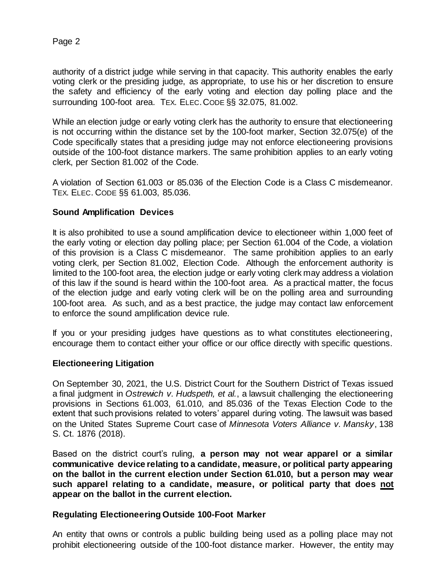authority of a district judge while serving in that capacity. This authority enables the early voting clerk or the presiding judge, as appropriate, to use his or her discretion to ensure the safety and efficiency of the early voting and election day polling place and the surrounding 100-foot area. TEX. ELEC.CODE §§ 32.075, 81.002.

While an election judge or early voting clerk has the authority to ensure that electioneering is not occurring within the distance set by the 100-foot marker, Section 32.075(e) of the Code specifically states that a presiding judge may not enforce electioneering provisions outside of the 100-foot distance markers. The same prohibition applies to an early voting clerk, per Section 81.002 of the Code.

A violation of Section 61.003 or 85.036 of the Election Code is a Class C misdemeanor. TEX. ELEC. CODE §§ 61.003, 85.036.

## **Sound Amplification Devices**

It is also prohibited to use a sound amplification device to electioneer within 1,000 feet of the early voting or election day polling place; per Section 61.004 of the Code, a violation of this provision is a Class C misdemeanor. The same prohibition applies to an early voting clerk, per Section 81.002, Election Code. Although the enforcement authority is limited to the 100-foot area, the election judge or early voting clerk may address a violation of this law if the sound is heard within the 100-foot area. As a practical matter, the focus of the election judge and early voting clerk will be on the polling area and surrounding 100-foot area. As such, and as a best practice, the judge may contact law enforcement to enforce the sound amplification device rule.

If you or your presiding judges have questions as to what constitutes electioneering, encourage them to contact either your office or our office directly with specific questions.

#### **Electioneering Litigation**

On September 30, 2021, the U.S. District Court for the Southern District of Texas issued a final judgment in *Ostrewich v. Hudspeth, et al.*, a lawsuit challenging the electioneering provisions in Sections 61.003, 61.010, and 85.036 of the Texas Election Code to the extent that such provisions related to voters' apparel during voting. The lawsuit was based on the United States Supreme Court case of *Minnesota Voters Alliance v. Mansky*, 138 S. Ct. 1876 (2018).

Based on the district court's ruling, **a person may not wear apparel or a similar communicative device relating to a candidate, measure, or political party appearing on the ballot in the current election under Section 61.010, but a person may wear such apparel relating to a candidate, measure, or political party that does not appear on the ballot in the current election.**

#### **Regulating Electioneering Outside 100-Foot Marker**

An entity that owns or controls a public building being used as a polling place may not prohibit electioneering outside of the 100-foot distance marker. However, the entity may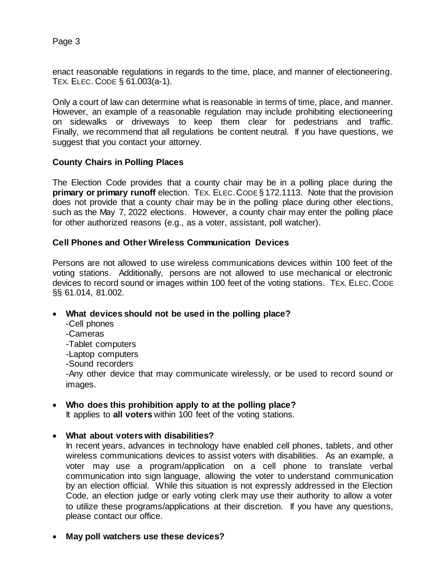Page 3

enact reasonable regulations in regards to the time, place, and manner of electioneering. TEX. ELEC. CODE § 61.003(a-1).

Only a court of law can determine what is reasonable in terms of time, place, and manner. However, an example of a reasonable regulation may include prohibiting electioneering on sidewalks or driveways to keep them clear for pedestrians and traffic. Finally, we recommend that all regulations be content neutral. If you have questions, we suggest that you contact your attorney.

#### **County Chairs in Polling Places**

The Election Code provides that a county chair may be in a polling place during the **primary or primary runoff** election. TEX. ELEC. CODE § 172.1113. Note that the provision does not provide that a county chair may be in the polling place during other elections, such as the May 7, 2022 elections. However, a county chair may enter the polling place for other authorized reasons (e.g., as a voter, assistant, poll watcher).

#### **Cell Phones and Other Wireless Communication Devices**

Persons are not allowed to use wireless communications devices within 100 feet of the voting stations. Additionally, persons are not allowed to use mechanical or electronic devices to record sound or images within 100 feet of the voting stations. TEX. ELEC.CODE §§ 61.014, 81.002.

## • **What devices should not be used in the polling place?**

- -Cell phones
- -Cameras
- -Tablet computers
- -Laptop computers
- -Sound recorders

-Any other device that may communicate wirelessly, or be used to record sound or images.

## • **Who does this prohibition apply to at the polling place?**

It applies to **all voters** within 100 feet of the voting stations.

## • **What about voters with disabilities?**

In recent years, advances in technology have enabled cell phones, tablets, and other wireless communications devices to assist voters with disabilities. As an example, a voter may use a program/application on a cell phone to translate verbal communication into sign language, allowing the voter to understand communication by an election official. While this situation is not expressly addressed in the Election Code, an election judge or early voting clerk may use their authority to allow a voter to utilize these programs/applications at their discretion. If you have any questions, please contact our office.

• **May poll watchers use these devices?**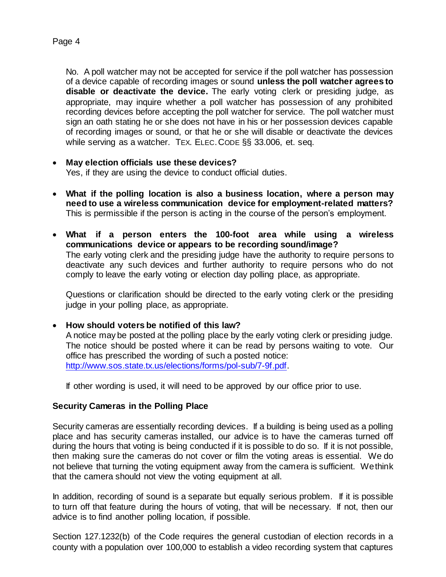No. A poll watcher may not be accepted for service if the poll watcher has possession of a device capable of recording images or sound **unless the poll watcher agrees to** 

**disable or deactivate the device.** The early voting clerk or presiding judge, as appropriate, may inquire whether a poll watcher has possession of any prohibited recording devices before accepting the poll watcher for service. The poll watcher must sign an oath stating he or she does not have in his or her possession devices capable of recording images or sound, or that he or she will disable or deactivate the devices while serving as a watcher. TEX. ELEC.CODE §§ 33.006, et. seq.

# • **May election officials use these devices?**

Yes, if they are using the device to conduct official duties.

- **What if the polling location is also a business location, where a person may need to use a wireless communication device for employment-related matters?**  This is permissible if the person is acting in the course of the person's employment.
- **What if a person enters the 100-foot area while using a wireless communications device or appears to be recording sound/image?**  The early voting clerk and the presiding judge have the authority to require persons to deactivate any such devices and further authority to require persons who do not comply to leave the early voting or election day polling place, as appropriate.

Questions or clarification should be directed to the early voting clerk or the presiding judge in your polling place, as appropriate.

• **How should voters be notified of this law?**

A notice may be posted at the polling place by the early voting clerk or presiding judge. The notice should be posted where it can be read by persons waiting to vote. Our office has prescribed the wording of such a posted notice: [http://www.sos.state.tx.us/elections/forms/pol-sub/7-9f.pdf.](http://www.sos.state.tx.us/elections/forms/pol-sub/7-9f.pdf)

If other wording is used, it will need to be approved by our office prior to use.

## **Security Cameras in the Polling Place**

Security cameras are essentially recording devices. If a building is being used as a polling place and has security cameras installed, our advice is to have the cameras turned off during the hours that voting is being conducted if it is possible to do so. If it is not possible, then making sure the cameras do not cover or film the voting areas is essential. We do not believe that turning the voting equipment away from the camera is sufficient. We think that the camera should not view the voting equipment at all.

In addition, recording of sound is a separate but equally serious problem. If it is possible to turn off that feature during the hours of voting, that will be necessary. If not, then our advice is to find another polling location, if possible.

Section 127.1232(b) of the Code requires the general custodian of election records in a county with a population over 100,000 to establish a video recording system that captures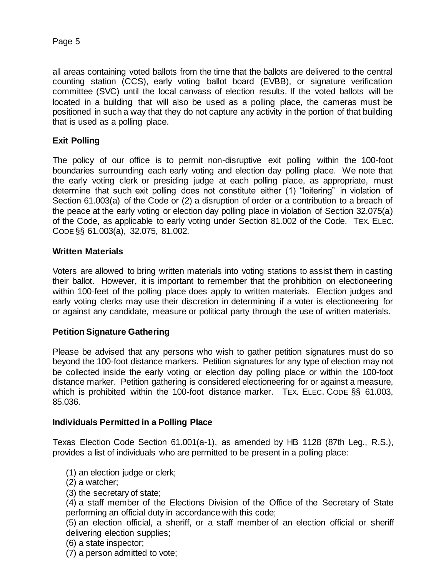all areas containing voted ballots from the time that the ballots are delivered to the central counting station (CCS), early voting ballot board (EVBB), or signature verification committee (SVC) until the local canvass of election results. If the voted ballots will be located in a building that will also be used as a polling place, the cameras must be positioned in such a way that they do not capture any activity in the portion of that building that is used as a polling place.

## **Exit Polling**

The policy of our office is to permit non-disruptive exit polling within the 100-foot boundaries surrounding each early voting and election day polling place. We note that the early voting clerk or presiding judge at each polling place, as appropriate, must determine that such exit polling does not constitute either (1) "loitering" in violation of Section 61.003(a) of the Code or (2) a disruption of order or a contribution to a breach of the peace at the early voting or election day polling place in violation of Section 32.075(a) of the Code, as applicable to early voting under Section 81.002 of the Code. TEX. ELEC. CODE §§ 61.003(a), 32.075, 81.002.

## **Written Materials**

Voters are allowed to bring written materials into voting stations to assist them in casting their ballot. However, it is important to remember that the prohibition on electioneering within 100-feet of the polling place does apply to written materials. Election judges and early voting clerks may use their discretion in determining if a voter is electioneering for or against any candidate, measure or political party through the use of written materials.

## **Petition Signature Gathering**

Please be advised that any persons who wish to gather petition signatures must do so beyond the 100-foot distance markers. Petition signatures for any type of election may not be collected inside the early voting or election day polling place or within the 100-foot distance marker. Petition gathering is considered electioneering for or against a measure, which is prohibited within the 100-foot distance marker. TEX. ELEC. CODE §§ 61.003, 85.036.

#### **Individuals Permitted in a Polling Place**

Texas Election Code Section 61.001(a-1), as amended by HB 1128 (87th Leg., R.S.), provides a list of individuals who are permitted to be present in a polling place:

- (1) an election judge or clerk;
- (2) a watcher;
- (3) the secretary of state;

(4) a staff member of the Elections Division of the Office of the Secretary of State performing an official duty in accordance with this code;

(5) an election official, a sheriff, or a staff member of an election official or sheriff delivering election supplies;

- (6) a state inspector;
- (7) a person admitted to vote;